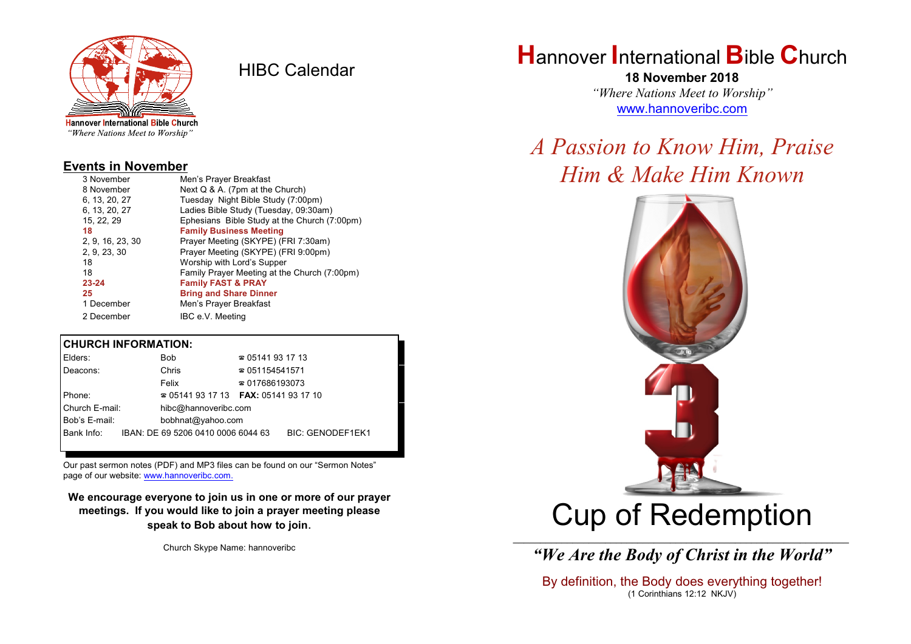

HIBC Calendar

## "Where Nations Meet to Worship"

#### **Events in November**

| 3 November       | Men's Prayer Breakfast                       |
|------------------|----------------------------------------------|
| 8 November       | Next $Q$ & A. (7pm at the Church)            |
| 6. 13. 20. 27    | Tuesday Night Bible Study (7:00pm)           |
| 6, 13, 20, 27    | Ladies Bible Study (Tuesday, 09:30am)        |
| 15, 22, 29       | Ephesians Bible Study at the Church (7:00pm) |
| 18               | <b>Family Business Meeting</b>               |
| 2, 9, 16, 23, 30 | Prayer Meeting (SKYPE) (FRI 7:30am)          |
| 2, 9, 23, 30     | Prayer Meeting (SKYPE) (FRI 9:00pm)          |
| 18               | Worship with Lord's Supper                   |
| 18               | Family Prayer Meeting at the Church (7:00pm) |
| 23-24            | <b>Family FAST &amp; PRAY</b>                |
| 25               | <b>Bring and Share Dinner</b>                |
| 1 December       | Men's Prayer Breakfast                       |
| 2 December       | IBC e.V. Meeting                             |

#### **CHURCH INFORMATION:**

| Elders:        | Bob.                                     | $\approx 05141931713$  |                         |  |
|----------------|------------------------------------------|------------------------|-------------------------|--|
| Deacons:       | Chris                                    | $\approx 051154541571$ |                         |  |
|                | Felix                                    | $\approx 017686193073$ |                         |  |
| Phone:         | $\approx 05141931713$ FAX: 0514193 17 10 |                        |                         |  |
| Church E-mail: | hibc@hannoveribc.com                     |                        |                         |  |
| Bob's E-mail:  | bobhnat@yahoo.com                        |                        |                         |  |
| Bank Info:     | IBAN: DE 69 5206 0410 0006 6044 63       |                        | <b>BIC: GENODEF1EK1</b> |  |

Our past sermon notes (PDF) and MP3 files can be found on our "Sermon Notes" page of our website: [www.hannoveribc.com.](http://www.hannoveribc.com.)

**We encourage everyone to join us in one or more of our prayer meetings. If you would like to join a prayer meeting please speak to Bob about how to join**.

Church Skype Name: hannoveribc

## **H**annover **I**nternational **B**ible **C**hurch

**18 November 2018** *"Where Nations Meet to Worship"* [www.hannoveribc.com](http://www.hannoveribc.com)

# *A Passion to Know Him, Praise Him & Make Him Known*



# Cup of Redemption

\_\_\_\_\_\_\_\_\_\_\_\_\_\_\_\_\_\_\_\_\_\_\_\_\_\_\_\_\_\_\_\_\_\_\_\_\_\_\_\_\_\_\_\_\_\_\_\_\_\_\_\_\_\_\_\_\_\_\_\_\_\_ *"We Are the Body of Christ in the World"*

By definition, the Body does everything together! (1 Corinthians 12:12 NKJV)